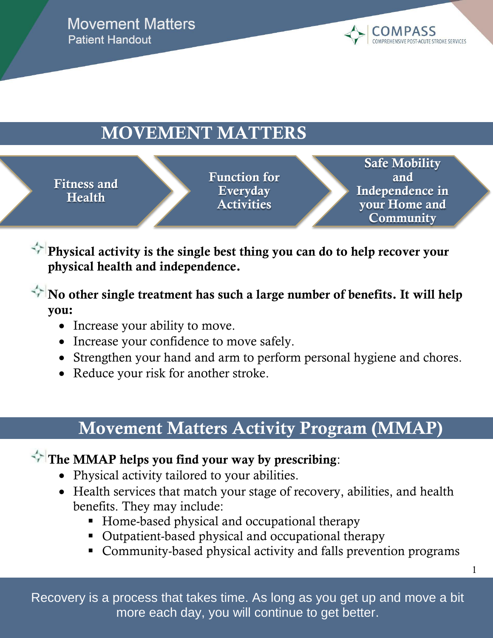**Movement Matters Patient Handout** 



## **MOVEMENT MATTERS**

**Fitness and Health** 

**Function for**<br>**Function Activities Everyday** 

[Recommend to Your Librarian](http://onlinelibrary.wiley.com/recommend/to/librarian/doi/10.1002/14651858)

**Safe Mobility and Independence in your Home and Community** 

1

**Physical activity is the single bes[t thing you](http://www.thecochranelibrary.com/) can do to help recover your**  physical health and independence. DATABASE MENU

No other single treatment has such [a lar](http://onlinelibrary.wiley.com/book/10.1002/14651858/titles)ge number of benefits. It will help **you:**

- Increase your ability to move.
- Increase your confidence to [move safely](http://onlinelibrary.wiley.com/book/10.1002/14651858/homepage/updated-sysrev.html).  $\mathbf{C}$ . o move safely
- Strengthen your hand and ar[m to perform](http://onlinelibrary.wiley.com/book/10.1002/14651858/homepage/crglist.html) personal hygiene and chores.
- Reduce your risk for another stroke.

## **Movement Matter[s Activity P](http://onlinelibrary.wiley.com/o/cochrane/cochrane_clhta_articles_fs.html)rogram (MMAP)**  [Methods Studies](http://onlinelibrary.wiley.com/o/cochrane/cochrane_clcmr_articles_fs.html) LIS TYCLEVILY

## The MMAP helps you find your way by prescribing:

- Physical activity tailored to your abilities.
	- $h$  *Profile* benefits. They may include: • Health services that match your stage of recovery, abilities, and health henefits. They may include:
		- Home-based physical and occupational therapy
- **D** Outpatient-based physical and occupational therapy
	- Community-based physical activity and falls prevention programs

[Re](http://onlinelibrary.wiley.com/book/10.1002/14651858/titles)covery is a process that takes time. As long as you get up and move a bit more each day, you will continue to get better.